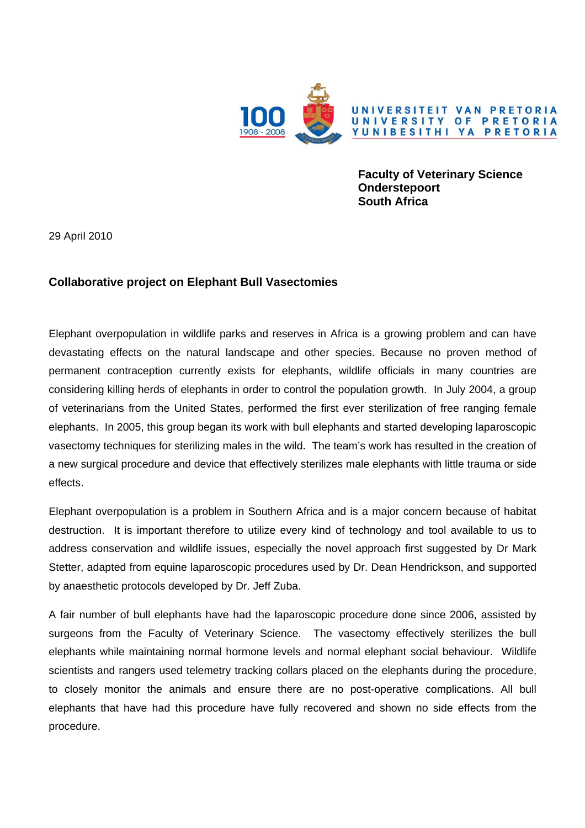

**Faculty of Veterinary Science Onderstepoort South Africa** 

29 April 2010

## **Collaborative project on Elephant Bull Vasectomies**

Elephant overpopulation in wildlife parks and reserves in Africa is a growing problem and can have devastating effects on the natural landscape and other species. Because no proven method of permanent contraception currently exists for elephants, wildlife officials in many countries are considering killing herds of elephants in order to control the population growth. In July 2004, a group of veterinarians from the United States, performed the first ever sterilization of free ranging female elephants. In 2005, this group began its work with bull elephants and started developing laparoscopic vasectomy techniques for sterilizing males in the wild. The team's work has resulted in the creation of a new surgical procedure and device that effectively sterilizes male elephants with little trauma or side effects.

Elephant overpopulation is a problem in Southern Africa and is a major concern because of habitat destruction. It is important therefore to utilize every kind of technology and tool available to us to address conservation and wildlife issues, especially the novel approach first suggested by Dr Mark Stetter, adapted from equine laparoscopic procedures used by Dr. Dean Hendrickson, and supported by anaesthetic protocols developed by Dr. Jeff Zuba.

A fair number of bull elephants have had the laparoscopic procedure done since 2006, assisted by surgeons from the Faculty of Veterinary Science. The vasectomy effectively sterilizes the bull elephants while maintaining normal hormone levels and normal elephant social behaviour. Wildlife scientists and rangers used telemetry tracking collars placed on the elephants during the procedure, to closely monitor the animals and ensure there are no post-operative complications. All bull elephants that have had this procedure have fully recovered and shown no side effects from the procedure.